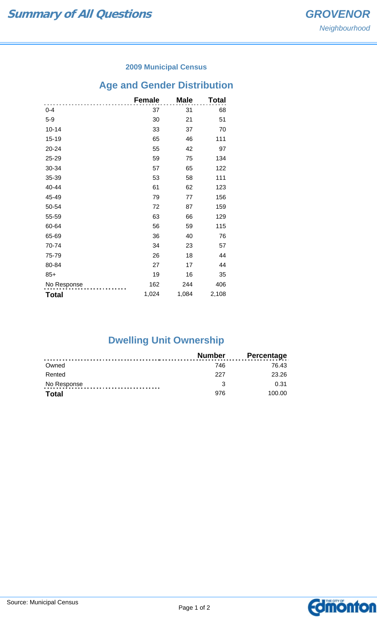### **2009 Municipal Census**

# **Age and Gender Distribution**

|              | <b>Female</b> | <b>Male</b> | Total |
|--------------|---------------|-------------|-------|
| $0 - 4$      | 37            | 31          | 68    |
| $5-9$        | 30            | 21          | 51    |
| $10 - 14$    | 33            | 37          | 70    |
| 15-19        | 65            | 46          | 111   |
| 20-24        | 55            | 42          | 97    |
| 25-29        | 59            | 75          | 134   |
| 30-34        | 57            | 65          | 122   |
| 35-39        | 53            | 58          | 111   |
| 40-44        | 61            | 62          | 123   |
| 45-49        | 79            | 77          | 156   |
| 50-54        | 72            | 87          | 159   |
| 55-59        | 63            | 66          | 129   |
| 60-64        | 56            | 59          | 115   |
| 65-69        | 36            | 40          | 76    |
| 70-74        | 34            | 23          | 57    |
| 75-79        | 26            | 18          | 44    |
| 80-84        | 27            | 17          | 44    |
| $85+$        | 19            | 16          | 35    |
| No Response  | 162           | 244         | 406   |
| <b>Total</b> | 1,024         | 1,084       | 2,108 |

## **Dwelling Unit Ownership**

|              | Number | <b>Percentage</b> |
|--------------|--------|-------------------|
| Owned        | 746    | 76.43             |
| Rented       | 227    | 23.26             |
| No Response  |        | 0.31              |
| <b>Total</b> | 976    | 100.00            |